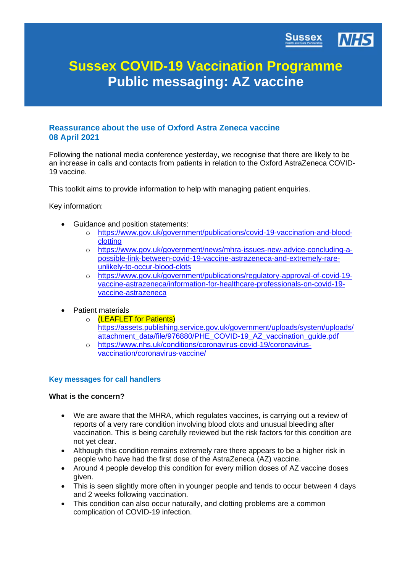

# **Sussex COVID-19 Vaccination Programme Public messaging: AZ vaccine**

# **Reassurance about the use of Oxford Astra Zeneca vaccine 08 April 2021**

Following the national media conference yesterday, we recognise that there are likely to be an increase in calls and contacts from patients in relation to the Oxford AstraZeneca COVID-19 vaccine.

This toolkit aims to provide information to help with managing patient enquiries.

Key information:

- Guidance and position statements:
	- o [https://www.gov.uk/government/publications/covid-19-vaccination-and-blood](https://www.gov.uk/government/publications/covid-19-vaccination-and-blood-clotting)[clotting](https://www.gov.uk/government/publications/covid-19-vaccination-and-blood-clotting)
	- o [https://www.gov.uk/government/news/mhra-issues-new-advice-concluding-a](https://www.gov.uk/government/news/mhra-issues-new-advice-concluding-a-possible-link-between-covid-19-vaccine-astrazeneca-and-extremely-rare-unlikely-to-occur-blood-clots)[possible-link-between-covid-19-vaccine-astrazeneca-and-extremely-rare](https://www.gov.uk/government/news/mhra-issues-new-advice-concluding-a-possible-link-between-covid-19-vaccine-astrazeneca-and-extremely-rare-unlikely-to-occur-blood-clots)[unlikely-to-occur-blood-clots](https://www.gov.uk/government/news/mhra-issues-new-advice-concluding-a-possible-link-between-covid-19-vaccine-astrazeneca-and-extremely-rare-unlikely-to-occur-blood-clots)
	- o [https://www.gov.uk/government/publications/regulatory-approval-of-covid-19](https://www.gov.uk/government/publications/regulatory-approval-of-covid-19-vaccine-astrazeneca/information-for-healthcare-professionals-on-covid-19-vaccine-astrazeneca) [vaccine-astrazeneca/information-for-healthcare-professionals-on-covid-19](https://www.gov.uk/government/publications/regulatory-approval-of-covid-19-vaccine-astrazeneca/information-for-healthcare-professionals-on-covid-19-vaccine-astrazeneca) [vaccine-astrazeneca](https://www.gov.uk/government/publications/regulatory-approval-of-covid-19-vaccine-astrazeneca/information-for-healthcare-professionals-on-covid-19-vaccine-astrazeneca)
- Patient materials
	- o **(LEAFLET for Patients)** [https://assets.publishing.service.gov.uk/government/uploads/system/uploads/](https://assets.publishing.service.gov.uk/government/uploads/system/uploads/attachment_data/file/976880/PHE_COVID-19_AZ_vaccination_guide.pdf) [attachment\\_data/file/976880/PHE\\_COVID-19\\_AZ\\_vaccination\\_guide.pdf](https://assets.publishing.service.gov.uk/government/uploads/system/uploads/attachment_data/file/976880/PHE_COVID-19_AZ_vaccination_guide.pdf)
	- o [https://www.nhs.uk/conditions/coronavirus-covid-19/coronavirus](https://www.nhs.uk/conditions/coronavirus-covid-19/coronavirus-vaccination/coronavirus-vaccine/)[vaccination/coronavirus-vaccine/](https://www.nhs.uk/conditions/coronavirus-covid-19/coronavirus-vaccination/coronavirus-vaccine/)

#### **Key messages for call handlers**

#### **What is the concern?**

- We are aware that the MHRA, which regulates vaccines, is carrying out a review of reports of a very rare condition involving blood clots and unusual bleeding after vaccination. This is being carefully reviewed but the risk factors for this condition are not yet clear.
- Although this condition remains extremely rare there appears to be a higher risk in people who have had the first dose of the AstraZeneca (AZ) vaccine.
- Around 4 people develop this condition for every million doses of AZ vaccine doses given.
- This is seen slightly more often in younger people and tends to occur between 4 days and 2 weeks following vaccination.
- This condition can also occur naturally, and clotting problems are a common complication of COVID-19 infection.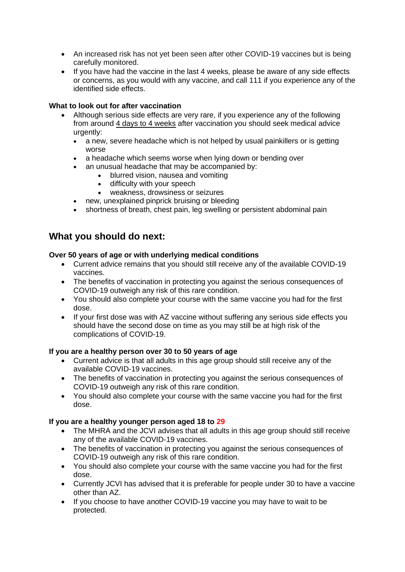- An increased risk has not yet been seen after other COVID-19 vaccines but is being carefully monitored.
- If you have had the vaccine in the last 4 weeks, please be aware of any side effects or concerns, as you would with any vaccine, and call 111 if you experience any of the identified side effects.

## **What to look out for after vaccination**

- Although serious side effects are very rare, if you experience any of the following from around 4 days to 4 weeks after vaccination you should seek medical advice urgently:
	- a new, severe headache which is not helped by usual painkillers or is getting worse
	- a headache which seems worse when lying down or bending over
		- an unusual headache that may be accompanied by:
			- blurred vision, nausea and vomiting
			- difficulty with your speech
			- weakness, drowsiness or seizures
		- new, unexplained pinprick bruising or bleeding
	- shortness of breath, chest pain, leg swelling or persistent abdominal pain

# **What you should do next:**

## **Over 50 years of age or with underlying medical conditions**

- Current advice remains that you should still receive any of the available COVID-19 vaccines.
- The benefits of vaccination in protecting you against the serious consequences of COVID-19 outweigh any risk of this rare condition.
- You should also complete your course with the same vaccine you had for the first dose.
- If your first dose was with AZ vaccine without suffering any serious side effects you should have the second dose on time as you may still be at high risk of the complications of COVID-19.

#### **If you are a healthy person over 30 to 50 years of age**

- Current advice is that all adults in this age group should still receive any of the available COVID-19 vaccines.
- The benefits of vaccination in protecting you against the serious consequences of COVID-19 outweigh any risk of this rare condition.
- You should also complete your course with the same vaccine you had for the first dose.

#### **If you are a healthy younger person aged 18 to 29**

- The MHRA and the JCVI advises that all adults in this age group should still receive any of the available COVID-19 vaccines.
- The benefits of vaccination in protecting you against the serious consequences of COVID-19 outweigh any risk of this rare condition.
- You should also complete your course with the same vaccine you had for the first dose.
- Currently JCVI has advised that it is preferable for people under 30 to have a vaccine other than AZ.
- If you choose to have another COVID-19 vaccine you may have to wait to be protected.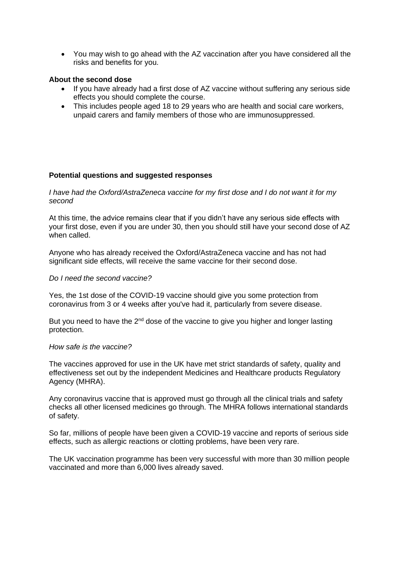• You may wish to go ahead with the AZ vaccination after you have considered all the risks and benefits for you.

#### **About the second dose**

- If you have already had a first dose of AZ vaccine without suffering any serious side effects you should complete the course.
- This includes people aged 18 to 29 years who are health and social care workers, unpaid carers and family members of those who are immunosuppressed.

#### **Potential questions and suggested responses**

*I have had the Oxford/AstraZeneca vaccine for my first dose and I do not want it for my second*

At this time, the advice remains clear that if you didn't have any serious side effects with your first dose, even if you are under 30, then you should still have your second dose of AZ when called.

Anyone who has already received the Oxford/AstraZeneca vaccine and has not had significant side effects, will receive the same vaccine for their second dose.

#### *Do I need the second vaccine?*

Yes, the 1st dose of the COVID-19 vaccine should give you some protection from coronavirus from 3 or 4 weeks after you've had it, particularly from severe disease.

But you need to have the 2<sup>nd</sup> dose of the vaccine to give you higher and longer lasting protection.

#### *How safe is the vaccine?*

The vaccines approved for use in the UK have met strict standards of safety, quality and effectiveness set out by the independent Medicines and Healthcare products Regulatory Agency (MHRA).

Any coronavirus vaccine that is approved must go through all the clinical trials and safety checks all other licensed medicines go through. The MHRA follows international standards of safety.

So far, millions of people have been given a COVID-19 vaccine and reports of serious side effects, such as allergic reactions or clotting problems, have been very rare.

The UK vaccination programme has been very successful with more than 30 million people vaccinated and more than 6,000 lives already saved.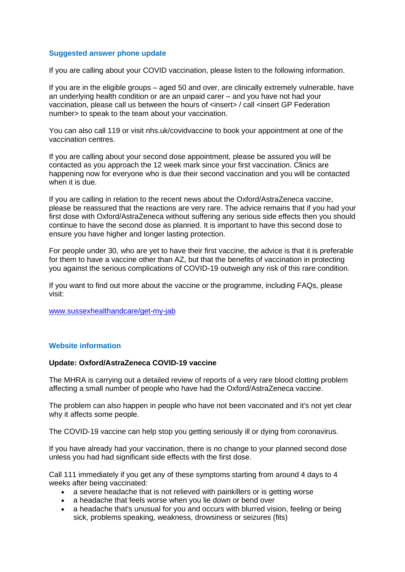#### **Suggested answer phone update**

If you are calling about your COVID vaccination, please listen to the following information.

If you are in the eligible groups – aged 50 and over, are clinically extremely vulnerable, have an underlying health condition or are an unpaid carer – and you have not had your vaccination, please call us between the hours of <insert> / call <insert GP Federation number> to speak to the team about your vaccination.

You can also call 119 or visit nhs.uk/covidvaccine to book your appointment at one of the vaccination centres.

If you are calling about your second dose appointment, please be assured you will be contacted as you approach the 12 week mark since your first vaccination. Clinics are happening now for everyone who is due their second vaccination and you will be contacted when it is due.

If you are calling in relation to the recent news about the Oxford/AstraZeneca vaccine, please be reassured that the reactions are very rare. The advice remains that if you had your first dose with Oxford/AstraZeneca without suffering any serious side effects then you should continue to have the second dose as planned. It is important to have this second dose to ensure you have higher and longer lasting protection.

For people under 30, who are yet to have their first vaccine, the advice is that it is preferable for them to have a vaccine other than AZ, but that the benefits of vaccination in protecting you against the serious complications of COVID-19 outweigh any risk of this rare condition.

If you want to find out more about the vaccine or the programme, including FAQs, please visit:

[www.sussexhealthandcare/get-my-jab](http://www.sussexhealthandcare/get-my-jab)

#### **Website information**

#### **Update: Oxford/AstraZeneca COVID-19 vaccine**

The MHRA is carrying out a detailed review of reports of a very rare blood clotting problem affecting a small number of people who have had the Oxford/AstraZeneca vaccine.

The problem can also happen in people who have not been vaccinated and it's not yet clear why it affects some people.

The COVID-19 vaccine can help stop you getting seriously ill or dying from coronavirus.

If you have already had your vaccination, there is no change to your planned second dose unless you had had significant side effects with the first dose.

Call 111 immediately if you get any of these symptoms starting from around 4 days to 4 weeks after being vaccinated:

- a severe headache that is not relieved with painkillers or is getting worse
- a headache that feels worse when you lie down or bend over
- a headache that's unusual for you and occurs with blurred vision, feeling or being sick, problems speaking, weakness, drowsiness or seizures (fits)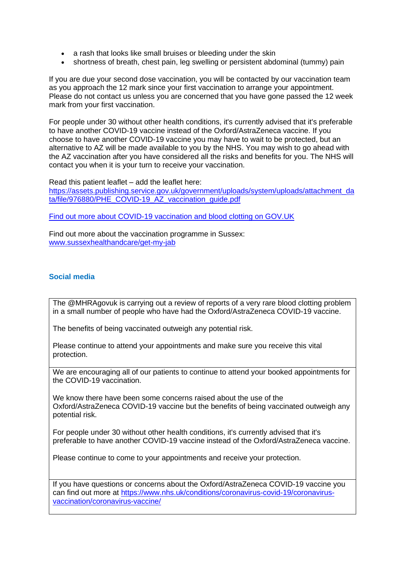- a rash that looks like small bruises or bleeding under the skin
- shortness of breath, chest pain, leg swelling or persistent abdominal (tummy) pain

If you are due your second dose vaccination, you will be contacted by our vaccination team as you approach the 12 mark since your first vaccination to arrange your appointment. Please do not contact us unless you are concerned that you have gone passed the 12 week mark from your first vaccination.

For people under 30 without other health conditions, it's currently advised that it's preferable to have another COVID-19 vaccine instead of the Oxford/AstraZeneca vaccine. If you choose to have another COVID-19 vaccine you may have to wait to be protected, but an alternative to AZ will be made available to you by the NHS. You may wish to go ahead with the AZ vaccination after you have considered all the risks and benefits for you. The NHS will contact you when it is your turn to receive your vaccination.

Read this patient leaflet – add the leaflet here: [https://assets.publishing.service.gov.uk/government/uploads/system/uploads/attachment\\_da](https://assets.publishing.service.gov.uk/government/uploads/system/uploads/attachment_data/file/976880/PHE_COVID-19_AZ_vaccination_guide.pdf) [ta/file/976880/PHE\\_COVID-19\\_AZ\\_vaccination\\_guide.pdf](https://assets.publishing.service.gov.uk/government/uploads/system/uploads/attachment_data/file/976880/PHE_COVID-19_AZ_vaccination_guide.pdf)

[Find out more about COVID-19 vaccination and blood clotting on GOV.UK](https://www.gov.uk/government/publications/covid-19-vaccination-and-blood-clotting/covid-19-vaccination-and-blood-clotting)

Find out more about the vaccination programme in Sussex: [www.sussexhealthandcare/get-my-jab](http://www.sussexhealthandcare/get-my-jab)

#### **Social media**

The @MHRAgovuk is carrying out a review of reports of a very rare blood clotting problem in a small number of people who have had the Oxford/AstraZeneca COVID-19 vaccine.

The benefits of being vaccinated outweigh any potential risk.

Please continue to attend your appointments and make sure you receive this vital protection.

We are encouraging all of our patients to continue to attend your booked appointments for the COVID-19 vaccination.

We know there have been some concerns raised about the use of the Oxford/AstraZeneca COVID-19 vaccine but the benefits of being vaccinated outweigh any potential risk.

For people under 30 without other health conditions, it's currently advised that it's preferable to have another COVID-19 vaccine instead of the Oxford/AstraZeneca vaccine.

Please continue to come to your appointments and receive your protection.

If you have questions or concerns about the Oxford/AstraZeneca COVID-19 vaccine you can find out more at [https://www.nhs.uk/conditions/coronavirus-covid-19/coronavirus](https://www.nhs.uk/conditions/coronavirus-covid-19/coronavirus-vaccination/coronavirus-vaccine/)[vaccination/coronavirus-vaccine/](https://www.nhs.uk/conditions/coronavirus-covid-19/coronavirus-vaccination/coronavirus-vaccine/)